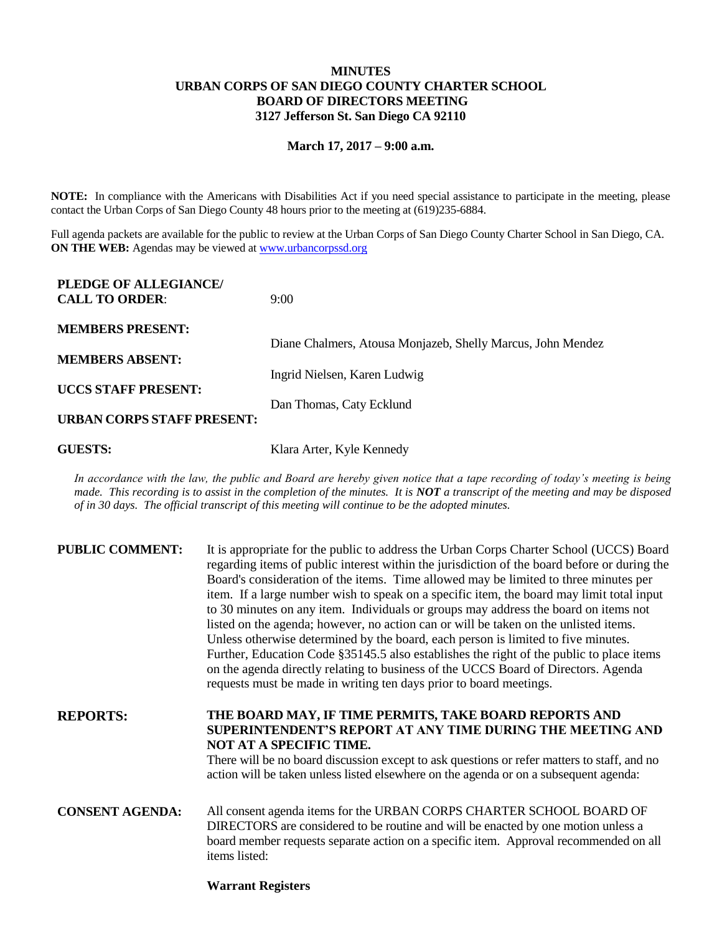## **MINUTES URBAN CORPS OF SAN DIEGO COUNTY CHARTER SCHOOL BOARD OF DIRECTORS MEETING 3127 Jefferson St. San Diego CA 92110**

## **March 17, 2017 – 9:00 a.m.**

**NOTE:** In compliance with the Americans with Disabilities Act if you need special assistance to participate in the meeting, please contact the Urban Corps of San Diego County 48 hours prior to the meeting at (619)235-6884.

Full agenda packets are available for the public to review at the Urban Corps of San Diego County Charter School in San Diego, CA. **ON THE WEB:** Agendas may be viewed at [www.urbancorpssd.org](http://www.urbancorpssd.org/)

| PLEDGE OF ALLEGIANCE/<br><b>CALL TO ORDER:</b> | 9:00                                                        |
|------------------------------------------------|-------------------------------------------------------------|
| <b>MEMBERS PRESENT:</b>                        | Diane Chalmers, Atousa Monjazeb, Shelly Marcus, John Mendez |
| <b>MEMBERS ABSENT:</b>                         |                                                             |
|                                                | Ingrid Nielsen, Karen Ludwig                                |
| <b>UCCS STAFF PRESENT:</b>                     | Dan Thomas, Caty Ecklund                                    |
| URBAN CORPS STAFF PRESENT:                     |                                                             |

**GUESTS:** Klara Arter, Kyle Kennedy

*In accordance with the law, the public and Board are hereby given notice that a tape recording of today's meeting is being made. This recording is to assist in the completion of the minutes. It is NOT a transcript of the meeting and may be disposed of in 30 days. The official transcript of this meeting will continue to be the adopted minutes.*

| <b>PUBLIC COMMENT:</b> | It is appropriate for the public to address the Urban Corps Charter School (UCCS) Board<br>regarding items of public interest within the jurisdiction of the board before or during the<br>Board's consideration of the items. Time allowed may be limited to three minutes per<br>item. If a large number wish to speak on a specific item, the board may limit total input<br>to 30 minutes on any item. Individuals or groups may address the board on items not<br>listed on the agenda; however, no action can or will be taken on the unlisted items.<br>Unless otherwise determined by the board, each person is limited to five minutes.<br>Further, Education Code §35145.5 also establishes the right of the public to place items<br>on the agenda directly relating to business of the UCCS Board of Directors. Agenda<br>requests must be made in writing ten days prior to board meetings. |
|------------------------|----------------------------------------------------------------------------------------------------------------------------------------------------------------------------------------------------------------------------------------------------------------------------------------------------------------------------------------------------------------------------------------------------------------------------------------------------------------------------------------------------------------------------------------------------------------------------------------------------------------------------------------------------------------------------------------------------------------------------------------------------------------------------------------------------------------------------------------------------------------------------------------------------------|
| <b>REPORTS:</b>        | THE BOARD MAY, IF TIME PERMITS, TAKE BOARD REPORTS AND<br>SUPERINTENDENT'S REPORT AT ANY TIME DURING THE MEETING AND<br>NOT AT A SPECIFIC TIME.<br>There will be no board discussion except to ask questions or refer matters to staff, and no<br>action will be taken unless listed elsewhere on the agenda or on a subsequent agenda:                                                                                                                                                                                                                                                                                                                                                                                                                                                                                                                                                                  |
| <b>CONSENT AGENDA:</b> | All consent agenda items for the URBAN CORPS CHARTER SCHOOL BOARD OF<br>DIRECTORS are considered to be routine and will be enacted by one motion unless a<br>board member requests separate action on a specific item. Approval recommended on all<br>items listed:                                                                                                                                                                                                                                                                                                                                                                                                                                                                                                                                                                                                                                      |

## **Warrant Registers**